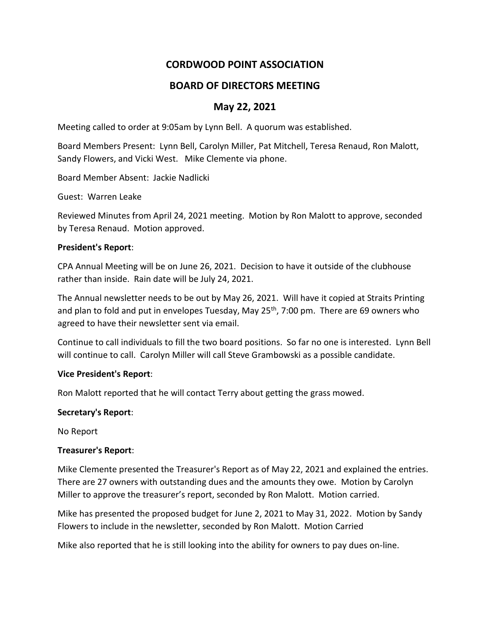# **CORDWOOD POINT ASSOCIATION**

## **BOARD OF DIRECTORS MEETING**

## **May 22, 2021**

Meeting called to order at 9:05am by Lynn Bell. A quorum was established.

Board Members Present: Lynn Bell, Carolyn Miller, Pat Mitchell, Teresa Renaud, Ron Malott, Sandy Flowers, and Vicki West. Mike Clemente via phone.

Board Member Absent: Jackie Nadlicki

Guest: Warren Leake

Reviewed Minutes from April 24, 2021 meeting. Motion by Ron Malott to approve, seconded by Teresa Renaud. Motion approved.

#### **President's Report**:

CPA Annual Meeting will be on June 26, 2021. Decision to have it outside of the clubhouse rather than inside. Rain date will be July 24, 2021.

The Annual newsletter needs to be out by May 26, 2021. Will have it copied at Straits Printing and plan to fold and put in envelopes Tuesday, May 25<sup>th</sup>, 7:00 pm. There are 69 owners who agreed to have their newsletter sent via email.

Continue to call individuals to fill the two board positions. So far no one is interested. Lynn Bell will continue to call. Carolyn Miller will call Steve Grambowski as a possible candidate.

## **Vice President's Report**:

Ron Malott reported that he will contact Terry about getting the grass mowed.

#### **Secretary's Report**:

No Report

## **Treasurer's Report**:

Mike Clemente presented the Treasurer's Report as of May 22, 2021 and explained the entries. There are 27 owners with outstanding dues and the amounts they owe. Motion by Carolyn Miller to approve the treasurer's report, seconded by Ron Malott. Motion carried.

Mike has presented the proposed budget for June 2, 2021 to May 31, 2022. Motion by Sandy Flowers to include in the newsletter, seconded by Ron Malott. Motion Carried

Mike also reported that he is still looking into the ability for owners to pay dues on-line.